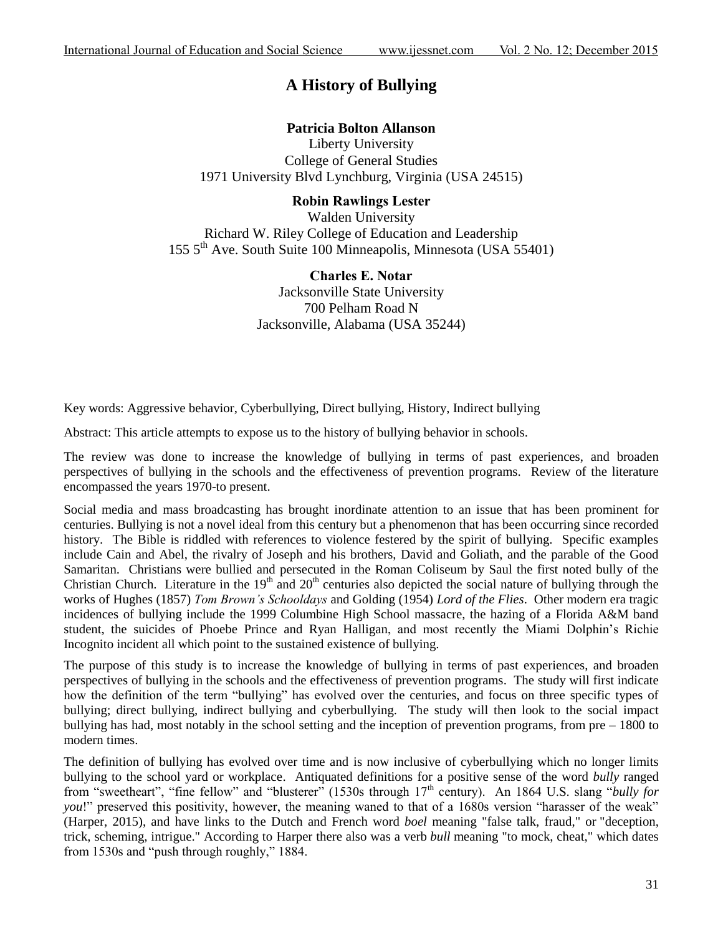# **A History of Bullying**

## **Patricia Bolton Allanson**

Liberty University College of General Studies 1971 University Blvd Lynchburg, Virginia (USA 24515)

## **Robin Rawlings Lester**

Walden University Richard W. Riley College of Education and Leadership 155 5th Ave. South Suite 100 Minneapolis, Minnesota (USA 55401)

> **Charles E. Notar** Jacksonville State University 700 Pelham Road N Jacksonville, Alabama (USA 35244)

Key words: Aggressive behavior, Cyberbullying, Direct bullying, History, Indirect bullying

Abstract: This article attempts to expose us to the history of bullying behavior in schools.

The review was done to increase the knowledge of bullying in terms of past experiences, and broaden perspectives of bullying in the schools and the effectiveness of prevention programs. Review of the literature encompassed the years 1970-to present.

Social media and mass broadcasting has brought inordinate attention to an issue that has been prominent for centuries. Bullying is not a novel ideal from this century but a phenomenon that has been occurring since recorded history. The Bible is riddled with references to violence festered by the spirit of bullying. Specific examples include Cain and Abel, the rivalry of Joseph and his brothers, David and Goliath, and the parable of the Good Samaritan. Christians were bullied and persecuted in the Roman Coliseum by Saul the first noted bully of the Christian Church. Literature in the  $19<sup>th</sup>$  and  $20<sup>th</sup>$  centuries also depicted the social nature of bullying through the works of Hughes (1857) *Tom Brown's Schooldays* and Golding (1954) *Lord of the Flies*. Other modern era tragic incidences of bullying include the 1999 Columbine High School massacre, the hazing of a Florida A&M band student, the suicides of Phoebe Prince and Ryan Halligan, and most recently the Miami Dolphin"s Richie Incognito incident all which point to the sustained existence of bullying.

The purpose of this study is to increase the knowledge of bullying in terms of past experiences, and broaden perspectives of bullying in the schools and the effectiveness of prevention programs. The study will first indicate how the definition of the term "bullying" has evolved over the centuries, and focus on three specific types of bullying; direct bullying, indirect bullying and cyberbullying. The study will then look to the social impact bullying has had, most notably in the school setting and the inception of prevention programs, from pre – 1800 to modern times.

The definition of bullying has evolved over time and is now inclusive of cyberbullying which no longer limits bullying to the school yard or workplace. Antiquated definitions for a positive sense of the word *bully* ranged from "sweetheart", "fine fellow" and "blusterer" (1530s through 17th century). An 1864 U.S. slang "*bully for you!*" preserved this positivity, however, the meaning waned to that of a 1680s version "harasser of the weak" (Harper, 2015), and have links to the Dutch and French word *boel* meaning "false talk, fraud," or "deception, trick, scheming, intrigue." According to Harper there also was a verb *bull* meaning "to mock, cheat," which dates from 1530s and "push through roughly," 1884.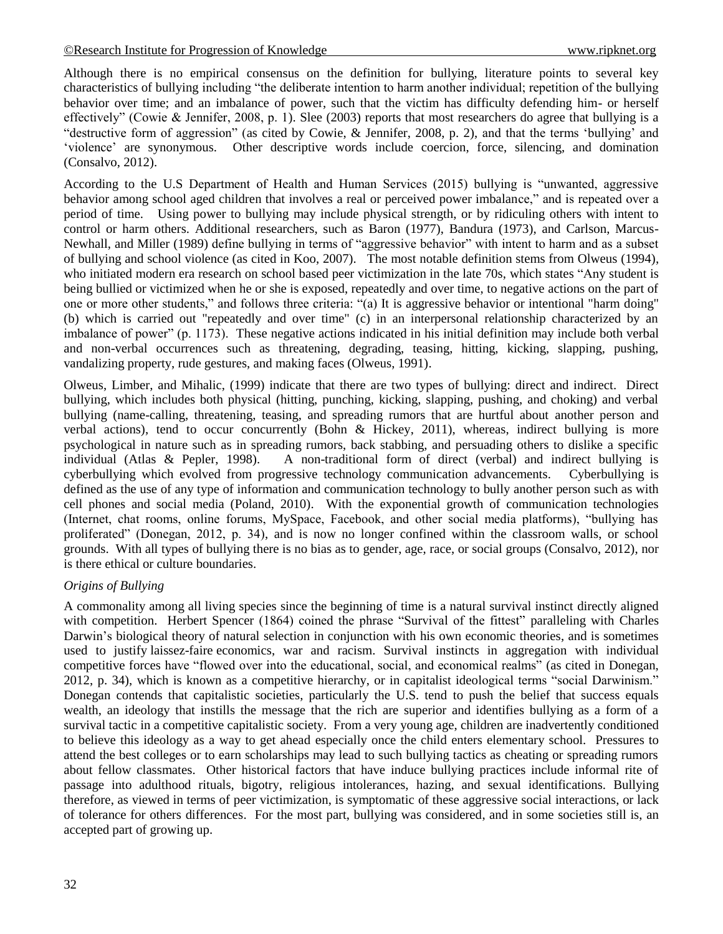Although there is no empirical consensus on the definition for bullying, literature points to several key characteristics of bullying including "the deliberate intention to harm another individual; repetition of the bullying behavior over time; and an imbalance of power, such that the victim has difficulty defending him- or herself effectively" (Cowie & Jennifer, 2008, p. 1). Slee (2003) reports that most researchers do agree that bullying is a "destructive form of aggression" (as cited by Cowie, & Jennifer, 2008, p. 2), and that the terms "bullying" and "violence" are synonymous. Other descriptive words include coercion, force, silencing, and domination (Consalvo, 2012).

According to the U.S Department of Health and Human Services (2015) bullying is "unwanted, aggressive behavior among school aged children that involves a real or perceived power imbalance," and is repeated over a period of time. Using power to bullying may include physical strength, or by ridiculing others with intent to control or harm others. Additional researchers, such as Baron (1977), Bandura (1973), and Carlson, Marcus-Newhall, and Miller (1989) define bullying in terms of "aggressive behavior" with intent to harm and as a subset of bullying and school violence (as cited in Koo, 2007). The most notable definition stems from Olweus (1994), who initiated modern era research on school based peer victimization in the late 70s, which states "Any student is being bullied or victimized when he or she is exposed, repeatedly and over time, to negative actions on the part of one or more other students," and follows three criteria: "(a) It is aggressive behavior or intentional "harm doing" (b) which is carried out "repeatedly and over time" (c) in an interpersonal relationship characterized by an imbalance of power" (p. 1173). These negative actions indicated in his initial definition may include both verbal and non-verbal occurrences such as threatening, degrading, teasing, hitting, kicking, slapping, pushing, vandalizing property, rude gestures, and making faces (Olweus, 1991).

Olweus, Limber, and Mihalic, (1999) indicate that there are two types of bullying: direct and indirect. Direct bullying, which includes both physical (hitting, punching, kicking, slapping, pushing, and choking) and verbal bullying (name-calling, threatening, teasing, and spreading rumors that are hurtful about another person and verbal actions), tend to occur concurrently (Bohn & Hickey, 2011), whereas, indirect bullying is more psychological in nature such as in spreading rumors, back stabbing, and persuading others to dislike a specific individual (Atlas & Pepler, 1998). A non-traditional form of direct (verbal) and indirect bullying is cyberbullying which evolved from progressive technology communication advancements. Cyberbullying is defined as the use of any type of information and communication technology to bully another person such as with cell phones and social media (Poland, 2010). With the exponential growth of communication technologies (Internet, chat rooms, online forums, MySpace, Facebook, and other social media platforms), "bullying has proliferated" (Donegan, 2012, p. 34), and is now no longer confined within the classroom walls, or school grounds. With all types of bullying there is no bias as to gender, age, race, or social groups (Consalvo, 2012), nor is there ethical or culture boundaries.

## *Origins of Bullying*

A commonality among all living species since the beginning of time is a natural survival instinct directly aligned with competition. Herbert Spencer (1864) coined the phrase "Survival of the fittest" paralleling with Charles Darwin"s biological theory of natural selection in conjunction with his own economic theories, and is sometimes used to justify laissez-faire economics, war and racism. Survival instincts in aggregation with individual competitive forces have "flowed over into the educational, social, and economical realms" (as cited in Donegan, 2012, p. 34), which is known as a competitive hierarchy, or in capitalist ideological terms "social Darwinism." Donegan contends that capitalistic societies, particularly the U.S. tend to push the belief that success equals wealth, an ideology that instills the message that the rich are superior and identifies bullying as a form of a survival tactic in a competitive capitalistic society. From a very young age, children are inadvertently conditioned to believe this ideology as a way to get ahead especially once the child enters elementary school. Pressures to attend the best colleges or to earn scholarships may lead to such bullying tactics as cheating or spreading rumors about fellow classmates. Other historical factors that have induce bullying practices include informal rite of passage into adulthood rituals, bigotry, religious intolerances, hazing, and sexual identifications. Bullying therefore, as viewed in terms of peer victimization, is symptomatic of these aggressive social interactions, or lack of tolerance for others differences. For the most part, bullying was considered, and in some societies still is, an accepted part of growing up.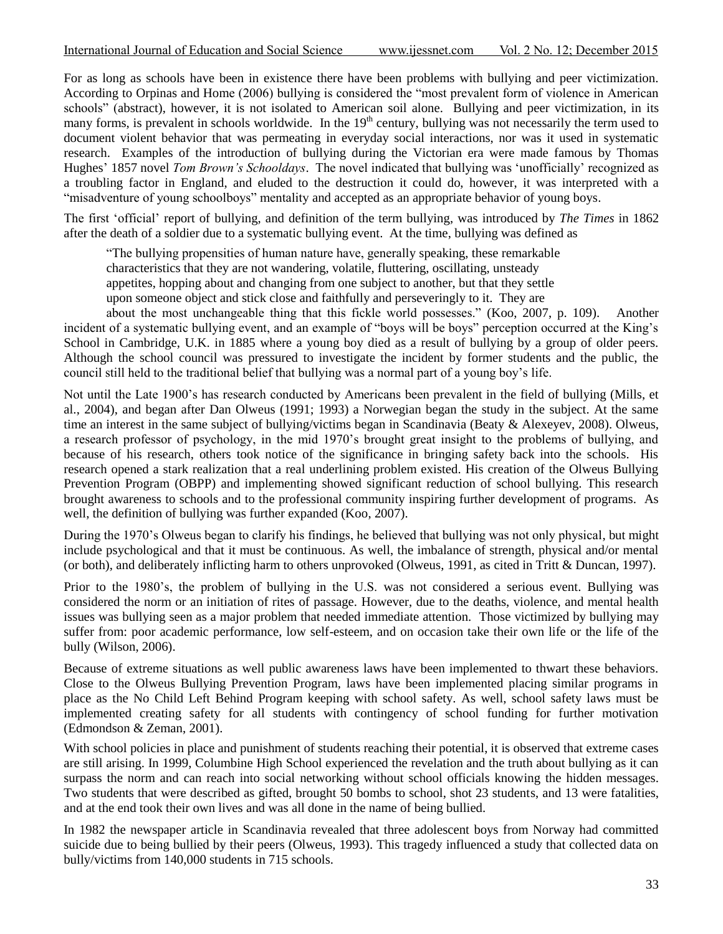For as long as schools have been in existence there have been problems with bullying and peer victimization. According to Orpinas and Home (2006) bullying is considered the "most prevalent form of violence in American schools" (abstract), however, it is not isolated to American soil alone. Bullying and peer victimization, in its many forms, is prevalent in schools worldwide. In the 19<sup>th</sup> century, bullying was not necessarily the term used to document violent behavior that was permeating in everyday social interactions, nor was it used in systematic research. Examples of the introduction of bullying during the Victorian era were made famous by Thomas Hughes" 1857 novel *Tom Brown's Schooldays*. The novel indicated that bullying was "unofficially" recognized as a troubling factor in England, and eluded to the destruction it could do, however, it was interpreted with a "misadventure of young schoolboys" mentality and accepted as an appropriate behavior of young boys.

The first "official" report of bullying, and definition of the term bullying, was introduced by *The Times* in 1862 after the death of a soldier due to a systematic bullying event. At the time, bullying was defined as

"The bullying propensities of human nature have, generally speaking, these remarkable characteristics that they are not wandering, volatile, fluttering, oscillating, unsteady appetites, hopping about and changing from one subject to another, but that they settle upon someone object and stick close and faithfully and perseveringly to it. They are

about the most unchangeable thing that this fickle world possesses." (Koo, 2007, p. 109). Another incident of a systematic bullying event, and an example of "boys will be boys" perception occurred at the King"s School in Cambridge, U.K. in 1885 where a young boy died as a result of bullying by a group of older peers. Although the school council was pressured to investigate the incident by former students and the public, the council still held to the traditional belief that bullying was a normal part of a young boy"s life.

Not until the Late 1900"s has research conducted by Americans been prevalent in the field of bullying (Mills, et al., 2004), and began after Dan Olweus (1991; 1993) a Norwegian began the study in the subject. At the same time an interest in the same subject of bullying/victims began in Scandinavia (Beaty & Alexeyev, 2008). Olweus, a research professor of psychology, in the mid 1970"s brought great insight to the problems of bullying, and because of his research, others took notice of the significance in bringing safety back into the schools. His research opened a stark realization that a real underlining problem existed. His creation of the Olweus Bullying Prevention Program (OBPP) and implementing showed significant reduction of school bullying. This research brought awareness to schools and to the professional community inspiring further development of programs. As well, the definition of bullying was further expanded (Koo, 2007).

During the 1970"s Olweus began to clarify his findings, he believed that bullying was not only physical, but might include psychological and that it must be continuous. As well, the imbalance of strength, physical and/or mental (or both), and deliberately inflicting harm to others unprovoked (Olweus, 1991, as cited in Tritt & Duncan, 1997).

Prior to the 1980"s, the problem of bullying in the U.S. was not considered a serious event. Bullying was considered the norm or an initiation of rites of passage. However, due to the deaths, violence, and mental health issues was bullying seen as a major problem that needed immediate attention. Those victimized by bullying may suffer from: poor academic performance, low self-esteem, and on occasion take their own life or the life of the bully (Wilson, 2006).

Because of extreme situations as well public awareness laws have been implemented to thwart these behaviors. Close to the Olweus Bullying Prevention Program, laws have been implemented placing similar programs in place as the No Child Left Behind Program keeping with school safety. As well, school safety laws must be implemented creating safety for all students with contingency of school funding for further motivation (Edmondson & Zeman, 2001).

With school policies in place and punishment of students reaching their potential, it is observed that extreme cases are still arising. In 1999, Columbine High School experienced the revelation and the truth about bullying as it can surpass the norm and can reach into social networking without school officials knowing the hidden messages. Two students that were described as gifted, brought 50 bombs to school, shot 23 students, and 13 were fatalities, and at the end took their own lives and was all done in the name of being bullied.

In 1982 the newspaper article in Scandinavia revealed that three adolescent boys from Norway had committed suicide due to being bullied by their peers (Olweus, 1993). This tragedy influenced a study that collected data on bully/victims from 140,000 students in 715 schools.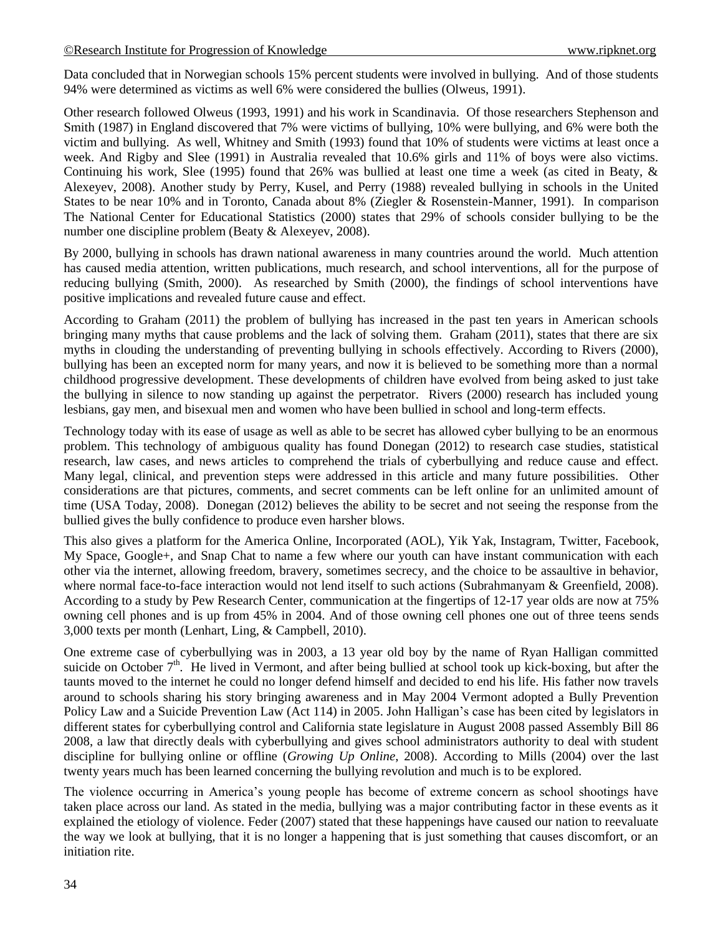Data concluded that in Norwegian schools 15% percent students were involved in bullying. And of those students 94% were determined as victims as well 6% were considered the bullies (Olweus, 1991).

Other research followed Olweus (1993, 1991) and his work in Scandinavia. Of those researchers Stephenson and Smith (1987) in England discovered that 7% were victims of bullying, 10% were bullying, and 6% were both the victim and bullying. As well, Whitney and Smith (1993) found that 10% of students were victims at least once a week. And Rigby and Slee (1991) in Australia revealed that 10.6% girls and 11% of boys were also victims. Continuing his work, Slee (1995) found that 26% was bullied at least one time a week (as cited in Beaty, & Alexeyev, 2008). Another study by Perry, Kusel, and Perry (1988) revealed bullying in schools in the United States to be near 10% and in Toronto, Canada about 8% (Ziegler & Rosenstein-Manner, 1991). In comparison The National Center for Educational Statistics (2000) states that 29% of schools consider bullying to be the number one discipline problem (Beaty & Alexeyev, 2008).

By 2000, bullying in schools has drawn national awareness in many countries around the world. Much attention has caused media attention, written publications, much research, and school interventions, all for the purpose of reducing bullying (Smith, 2000). As researched by Smith (2000), the findings of school interventions have positive implications and revealed future cause and effect.

According to Graham (2011) the problem of bullying has increased in the past ten years in American schools bringing many myths that cause problems and the lack of solving them. Graham (2011), states that there are six myths in clouding the understanding of preventing bullying in schools effectively. According to Rivers (2000), bullying has been an excepted norm for many years, and now it is believed to be something more than a normal childhood progressive development. These developments of children have evolved from being asked to just take the bullying in silence to now standing up against the perpetrator. Rivers (2000) research has included young lesbians, gay men, and bisexual men and women who have been bullied in school and long-term effects.

Technology today with its ease of usage as well as able to be secret has allowed cyber bullying to be an enormous problem. This technology of ambiguous quality has found Donegan (2012) to research case studies, statistical research, law cases, and news articles to comprehend the trials of cyberbullying and reduce cause and effect. Many legal, clinical, and prevention steps were addressed in this article and many future possibilities. Other considerations are that pictures, comments, and secret comments can be left online for an unlimited amount of time (USA Today, 2008). Donegan (2012) believes the ability to be secret and not seeing the response from the bullied gives the bully confidence to produce even harsher blows.

This also gives a platform for the America Online, Incorporated (AOL), Yik Yak, Instagram, Twitter, Facebook, My Space, Google+, and Snap Chat to name a few where our youth can have instant communication with each other via the internet, allowing freedom, bravery, sometimes secrecy, and the choice to be assaultive in behavior, where normal face-to-face interaction would not lend itself to such actions (Subrahmanyam & Greenfield, 2008). According to a study by Pew Research Center, communication at the fingertips of 12-17 year olds are now at 75% owning cell phones and is up from 45% in 2004. And of those owning cell phones one out of three teens sends 3,000 texts per month (Lenhart, Ling, & Campbell, 2010).

One extreme case of cyberbullying was in 2003, a 13 year old boy by the name of Ryan Halligan committed suicide on October  $7<sup>th</sup>$ . He lived in Vermont, and after being bullied at school took up kick-boxing, but after the taunts moved to the internet he could no longer defend himself and decided to end his life. His father now travels around to schools sharing his story bringing awareness and in May 2004 Vermont adopted a Bully Prevention Policy Law and a Suicide Prevention Law (Act 114) in 2005. John Halligan's case has been cited by legislators in different states for cyberbullying control and California state legislature in August 2008 passed Assembly Bill 86 2008, a law that directly deals with cyberbullying and gives school administrators authority to deal with student discipline for bullying online or offline (*Growing Up Online*, 2008). According to Mills (2004) over the last twenty years much has been learned concerning the bullying revolution and much is to be explored.

The violence occurring in America"s young people has become of extreme concern as school shootings have taken place across our land. As stated in the media, bullying was a major contributing factor in these events as it explained the etiology of violence. Feder (2007) stated that these happenings have caused our nation to reevaluate the way we look at bullying, that it is no longer a happening that is just something that causes discomfort, or an initiation rite.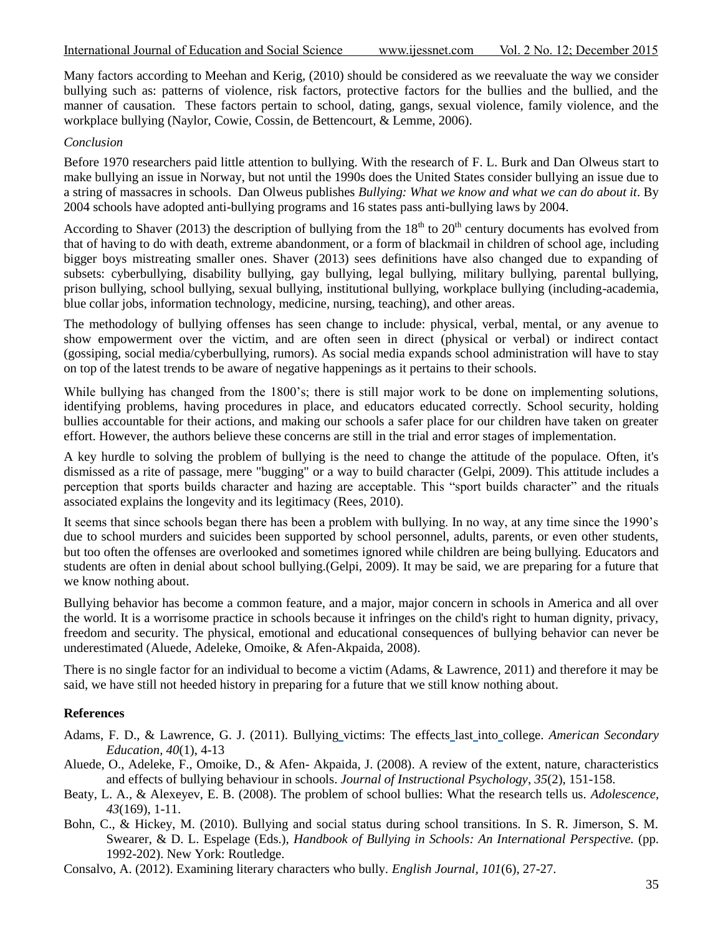Many factors according to Meehan and Kerig, (2010) should be considered as we reevaluate the way we consider bullying such as: patterns of violence, risk factors, protective factors for the bullies and the bullied, and the manner of causation. These factors pertain to school, dating, gangs, sexual violence, family violence, and the workplace bullying (Naylor, Cowie, Cossin, de Bettencourt, & Lemme, 2006).

### *Conclusion*

Before 1970 researchers paid little attention to bullying. With the research of F. L. Burk and Dan Olweus start to make bullying an issue in Norway, but not until the 1990s does the United States consider bullying an issue due to a string of massacres in schools. Dan Olweus publishes *Bullying: What we know and what we can do about it*. By 2004 schools have adopted anti-bullying programs and 16 states pass anti-bullying laws by 2004.

According to Shaver (2013) the description of bullying from the  $18<sup>th</sup>$  to  $20<sup>th</sup>$  century documents has evolved from that of having to do with death, extreme abandonment, or a form of blackmail in children of school age, including bigger boys mistreating smaller ones. Shaver (2013) sees definitions have also changed due to expanding of subsets: cyberbullying, disability bullying, gay bullying, legal bullying, military bullying, parental bullying, prison bullying, school bullying, sexual bullying, institutional bullying, workplace bullying (including-academia, blue collar jobs, information technology, medicine, nursing, teaching), and other areas.

The methodology of bullying offenses has seen change to include: physical, verbal, mental, or any avenue to show empowerment over the victim, and are often seen in direct (physical or verbal) or indirect contact (gossiping, social media/cyberbullying, rumors). As social media expands school administration will have to stay on top of the latest trends to be aware of negative happenings as it pertains to their schools.

While bullying has changed from the 1800's; there is still major work to be done on implementing solutions, identifying problems, having procedures in place, and educators educated correctly. School security, holding bullies accountable for their actions, and making our schools a safer place for our children have taken on greater effort. However, the authors believe these concerns are still in the trial and error stages of implementation.

A key hurdle to solving the problem of bullying is the need to change the attitude of the populace. Often, it's dismissed as a rite of passage, mere "bugging" or a way to build character [\(Gelpi,](javascript:__doLinkPostBack() 2009). This attitude includes a perception that sports builds character and hazing are acceptable. This "sport builds character" and the rituals associated explains the longevity and its legitimacy [\(Rees, 2](javascript:__doLinkPostBack()010).

It seems that since schools began there has been a problem with bullying. In no way, at any time since the 1990"s due to school murders and suicides been supported by school personnel, adults, parents, or even other students, but too often the offenses are overlooked and sometimes ignored while children are being bullying. Educators and students are often in denial about school bullying.[\(Gelpi,](javascript:__doLinkPostBack() 2009). It may be said, we are preparing for a future that we know nothing about.

Bullying behavior has become a common feature, and a major, major concern in schools in America and all over the world. It is a worrisome practice in schools because it infringes on the child's right to human dignity, privacy, freedom and security. The physical, emotional and educational consequences of bullying behavior can never be underestimated [\(Aluede, Adeleke,](javascript:__doLinkPostBack() [Omoike, & Afen-Akpaida, 2](javascript:__doLinkPostBack()008).

There is no single factor for an individual to become a victim (Adams, & Lawrence, 2011) and therefore it may be said, we have still not heeded history in preparing for a future that we still know nothing about.

## **References**

- Adams, F. D., & Lawrence, G. J. (2011). Bullying [victims: The effects](http://web.ebscohost.com.lib-proxy.jsu.edu/ehost/viewarticle?data=dGJyMPPp44rp2%2fdV0%2bnjisfk5Ie46bJNt6q2SLGk63nn5Kx94Onhh76vrUqvpbBIr6meSbirt1KurJ5oy5zyit%2fk8Xnh6ueH7N%2fiVa%2btsEyvqrNOtK%2bkhN%2fk5VXj5KR84LPjiufZpIzf3btZzJzfhru7yFGzp7BKspzkh%2fDj34y73POE6urjkPIA&hid=11) last into college. *American Secondary Education, 40*(1), 4-13
- [Aluede, O.,](javascript:__doLinkPostBack() [Adeleke, F., Omoike, D., & A](javascript:__doLinkPostBack()fen- [Akpaida, J.](javascript:__doLinkPostBack() (2008). A review of the extent, nature, characteristics and effects of bullying behaviour in schools. *[Journal of Instructional Psychology](javascript:__doLinkPostBack()*, *35*(2), 151-158.
- [Beaty, L. A.,](javascript:__doLinkPostBack() & [Alexeyev, E. B.](javascript:__doLinkPostBack() (2008). The problem of school bullies: What the research tells us. *[Adolescence,](javascript:__doLinkPostBack() 43*(169), 1-11.
- Bohn, C., & Hickey, M. (2010). Bullying and social status during school transitions. In S. R. Jimerson, S. M. Swearer, & D. L. Espelage (Eds.), *Handbook of Bullying in Schools: An International Perspective.* (pp. 1992-202). New York: Routledge.
- Consalvo, A. (2012). Examining literary characters who bully. *English Journal, 101*(6), 27-27.